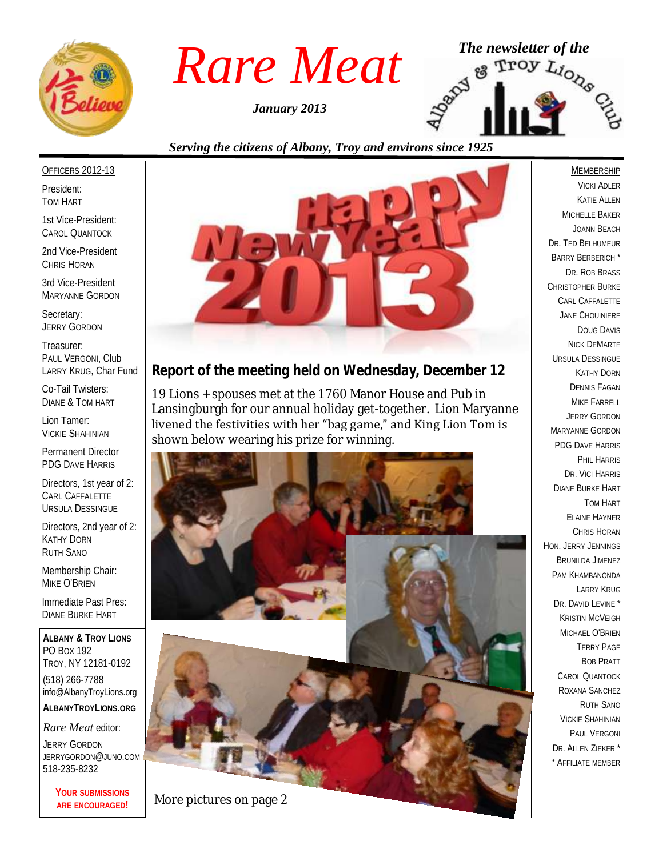

*January 2013*



#### *Serving the citizens of Albany, Troy and environs since 1925*

#### OFFICERS 2012-13

President: TOM HART

1st Vice-President: CAROL QUANTOCK

2nd Vice-President CHRIS HORAN

3rd Vice-President MARYANNE GORDON

Secretary: JERRY GORDON

Treasurer: PAUL VERGONI, Club LARRY KRUG, Char Fund

Co-Tail Twisters: DIANE & TOM HART

Lion Tamer: VICKIE SHAHINIAN

Permanent Director PDG DAVE HARRIS

Directors, 1st year of 2: CARL CAFFALETTE URSULA DESSINGUE

Directors, 2nd year of 2: KATHY DORN RUTH SANO

Membership Chair: MIKE O'BRIEN

Immediate Past Pres: DIANE BURKE HART

**ALBANY & TROY LIONS** PO BOX 192 TROY, NY 12181-0192 (518) 266-7788 info@AlbanyTroyLions.org **ALBANYTROYLIONS.ORG**

*Rare Meat* editor: JERRY GORDON JERRYGORDON@JUNO.COM 518-235-8232

> **YOUR SUBMISSIONS ARE ENCOURAGED!**



## *Report of the meeting held on Wednesday, December 12*

19 Lions + spouses met at the 1760 Manor House and Pub in Lansingburgh for our annual holiday get-together. Lion Maryanne livened the festivities with her "bag game," and King Lion Tom is shown below wearing his prize for winning.



**MEMBERSHIP** VICKI ADLER KATIE ALLEN MICHELLE BAKER JOANN BEACH DR. TED BELHUMEUR BARRY BERBERICH \* DR. ROB BRASS CHRISTOPHER BURKE CARL CAFFALETTE JANE CHOUINIERE DOUG DAVIS NICK DEMARTE URSULA DESSINGUE KATHY DORN DENNIS FAGAN MIKE FARRELL JERRY GORDON MARYANNE GORDON PDG DAVE HARRIS PHIL HARRIS DR. VICI HARRIS DIANE BURKE HART TOM HART ELAINE HAYNER CHRIS HORAN HON. JERRY JENNINGS BRUNILDA JIMENEZ PAM KHAMBANONDA LARRY KRUG DR. DAVID LEVINE<sup>\*</sup> KRISTIN MCVEIGH MICHAEL O'BRIEN TERRY PAGE BOB PRATT CAROL QUANTOCK ROXANA SANCHEZ RUTH SANO VICKIE SHAHINIAN PAUL VERGONI DR. ALLEN ZIEKER \* \* AFFILIATE MEMBER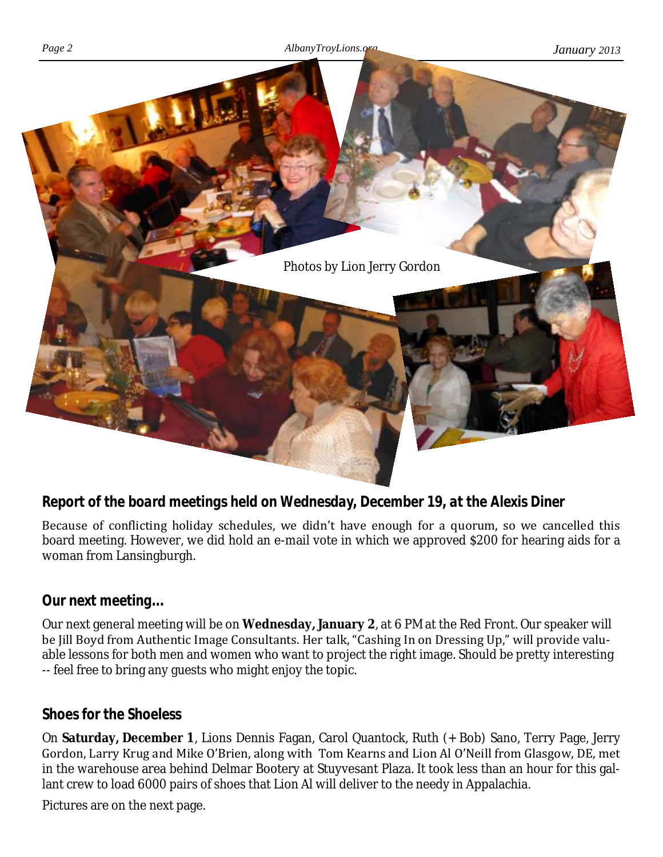

## *Report of the board meetings held on Wednesday, December 19, at the Alexis Diner*

Because of conflicting holiday schedules, we didn't have enough for a quorum, so we cancelled this board meeting. However, we did hold an e-mail vote in which we approved \$200 for hearing aids for a woman from Lansingburgh.

## *Our next meeting...*

Our next general meeting will be on **Wednesday, January 2**, at 6 PM at the Red Front. Our speaker will be Jill Boyd from Authentic Image Consultants. Her talk, "Cashing In on Dressing Up," will provide valuable lessons for both men and women who want to project the right image. Should be pretty interesting -- feel free to bring any guests who might enjoy the topic.

#### *Shoes for the Shoeless*

On **Saturday, December 1**, Lions Dennis Fagan, Carol Quantock, Ruth (+ Bob) Sano, Terry Page, Jerry Gordon, Larry Krug and Mike O'Brien, along with Tom Kearns and Lion Al O'Neill from Glasgow, DE, met in the warehouse area behind Delmar Bootery at Stuyvesant Plaza. It took less than an hour for this gallant crew to load 6000 pairs of shoes that Lion Al will deliver to the needy in Appalachia.

Pictures are on the next page.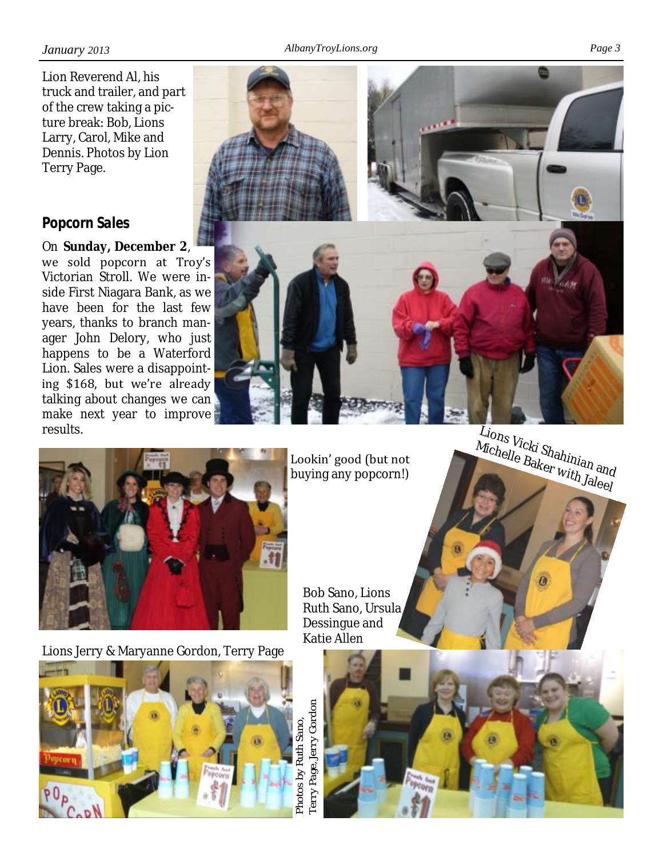Lion Reverend Al, his truck and trailer, and part of the crew taking a picture break: Bob, Lions Larry, Carol, Mike and Dennis. Photos by Lion Terry Page.

## *Popcorn Sales*

On **Sunday, December 2**, we sold popcorn at Troy's Victorian Stroll. We were inside First Niagara Bank, as we have been for the last few years, thanks to branch manager John Delory, who just happens to be a Waterford Lion. Sales were a disappointing \$168, but we're already talking about changes we can make next year to improve results.



Lookin' good (but not buying any popcorn!)

> Bob Sano, Lions Ruth Sano, Ursula Dessingue and

Lions Vicki Shahinian and Kiding Kiding of Raker With Jaleel



Lions Jerry & Maryanne Gordon, Terry Page





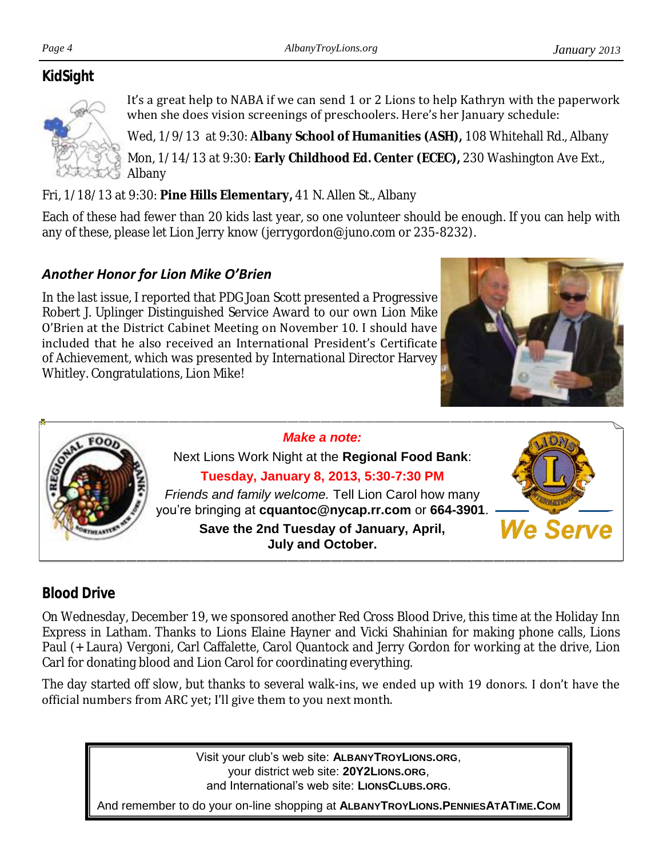## *KidSight*



It's a great help to NABA if we can send 1 or 2 Lions to help Kathryn with the paperwork when she does vision screenings of preschoolers. Here's her January schedule:

Wed, 1/9/13 at 9:30: **Albany School of Humanities (ASH),** 108 Whitehall Rd., Albany

Mon, 1/14/13 at 9:30: **Early Childhood Ed. Center (ECEC),** 230 Washington Ave Ext., Albany

Fri, 1/18/13 at 9:30: **Pine Hills Elementary,** 41 N. Allen St., Albany

Each of these had fewer than 20 kids last year, so one volunteer should be enough. If you can help with any of these, please let Lion Jerry know (jerrygordon@juno.com or 235-8232).

## *Another Honor for Lion Mike O'Brien*

In the last issue, I reported that PDG Joan Scott presented a Progressive Robert J. Uplinger Distinguished Service Award to our own Lion Mike O'Brien at the District Cabinet Meeting on November 10. I should have included that he also received an International President's Certificate of Achievement, which was presented by International Director Harvey Whitley. Congratulations, Lion Mike!





*Make a note:*

Next Lions Work Night at the **Regional Food Bank**: **Tuesday, January 8, 2013, 5:30-7:30 PM** *Friends and family welcome.* Tell Lion Carol how many you're bringing at **cquantoc@nycap.rr.com** or **664-3901**. **Save the 2nd Tuesday of January, April, July and October.**



## *Blood Drive*

On Wednesday, December 19, we sponsored another Red Cross Blood Drive, this time at the Holiday Inn Express in Latham. Thanks to Lions Elaine Hayner and Vicki Shahinian for making phone calls, Lions Paul (+ Laura) Vergoni, Carl Caffalette, Carol Quantock and Jerry Gordon for working at the drive, Lion Carl for donating blood and Lion Carol for coordinating everything.

The day started off slow, but thanks to several walk-ins, we ended up with 19 donors. I don't have the official numbers from ARC yet; I'll give them to you next month.

> Visit your club's web site: **ALBANYTROYLIONS.ORG**, your district web site: **20Y2LIONS.ORG**, and International's web site: **LIONSCLUBS.ORG**.

And remember to do your on-line shopping at **ALBANYTROYLIONS.PENNIESATATIME.COM**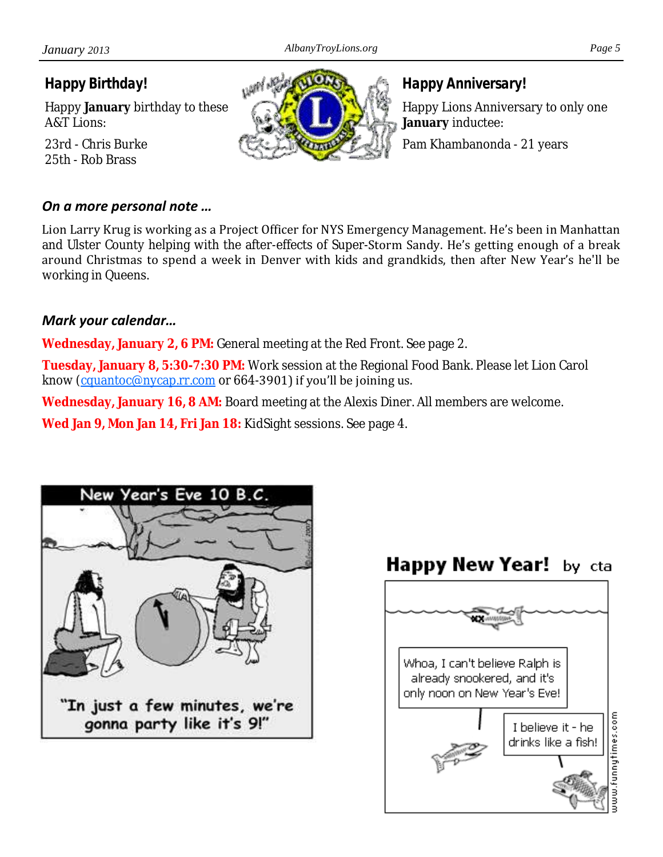*Happy Birthday!*

Happy **January** birthday to these A&T Lions:

23rd - Chris Burke 25th - Rob Brass

#### *On a more personal note …*

Lion Larry Krug is working as a Project Officer for NYS Emergency Management. He's been in Manhattan and Ulster County helping with the after-effects of Super-Storm Sandy. He's getting enough of a break around Christmas to spend a week in Denver with kids and grandkids, then after New Year's he'll be working in Queens.

#### *Mark your calendar…*

**Wednesday, January 2, 6 PM:** General meeting at the Red Front. See page 2.

**Tuesday, January 8, 5:30-7:30 PM:** Work session at the Regional Food Bank. Please let Lion Carol know ([cquantoc@nycap.rr.com](mailto:cquantoc@nycap.rr.com) or 664-3901) if you'll be joining us.

**Wednesday, January 16, 8 AM:** Board meeting at the Alexis Diner. All members are welcome.

**Wed Jan 9, Mon Jan 14, Fri Jan 18:** KidSight sessions. See page 4.







*Happy Anniversary!*

Happy Lions Anniversary to only one **January** inductee:

Pam Khambanonda - 21 years